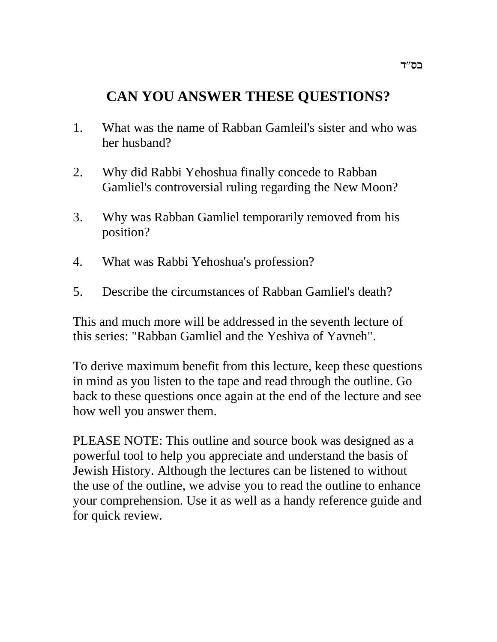# **CAN YOU ANSWER THESE QUESTIONS?**

- 1. What was the name of Rabban Gamleil's sister and who was her husband?
- 2. Why did Rabbi Yehoshua finally concede to Rabban Gamliel's controversial ruling regarding the New Moon?
- 3. Why was Rabban Gamliel temporarily removed from his position?
- 4. What was Rabbi Yehoshua's profession?
- 5. Describe the circumstances of Rabban Gamliel's death?

This and much more will be addressed in the seventh lecture of this series: "Rabban Gamliel and the Yeshiva of Yavneh".

To derive maximum benefit from this lecture, keep these questions in mind as you listen to the tape and read through the outline. Go back to these questions once again at the end of the lecture and see how well you answer them.

PLEASE NOTE: This outline and source book was designed as a powerful tool to help you appreciate and understand the basis of Jewish History. Although the lectures can be listened to without the use of the outline, we advise you to read the outline to enhance your comprehension. Use it as well as a handy reference guide and for quick review.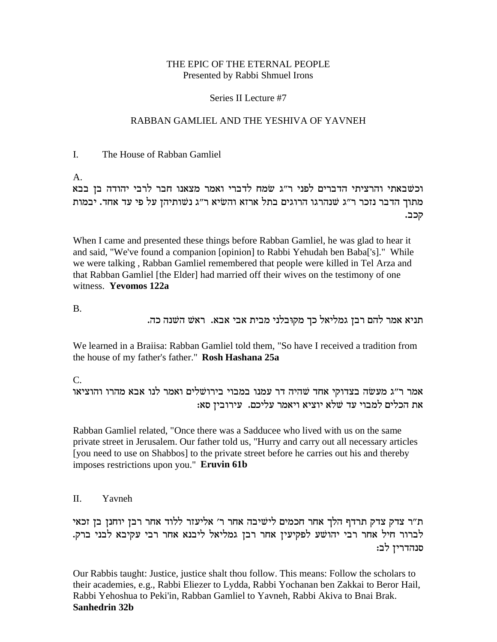## THE EPIC OF THE ETERNAL PEOPLE Presented by Rabbi Shmuel Irons

## Series II Lecture #7

## RABBAN GAMLIEL AND THE YESHIVA OF YAVNEH

### I. The House of Rabban Gamliel

A.

וכשבאתי והרציתי הדברים לפני ר"ג שמח לדברי ואמר מצאנו חבר לרבי יהודה בן בבא מתוך הדבר נזכר ר״ג שנהרגו הרוגים בתל ארזא והשׂיא ר״ג נשותיהז על פי עד אחד. יבמות קכב.

When I came and presented these things before Rabban Gamliel, he was glad to hear it and said, "We've found a companion [opinion] to Rabbi Yehudah ben Baba['s]." While we were talking , Rabban Gamliel remembered that people were killed in Tel Arza and that Rabban Gamliel [the Elder] had married off their wives on the testimony of one witness. **Yevomos 122a**

B.

. תניא אמר להם רבן גמליאל כך מקובלני מבית אבי אבא. ראש השנה כה

We learned in a Braiisa: Rabban Gamliel told them, "So have I received a tradition from the house of my father's father." **Rosh Hashana 25a**

C.

אמר ר״ג מעשׂה בצדוקי אחד שהיה דר עמנו במבוי בירושלים ואמר לנו אבא מהרו והוציאו ה הכלים למבוי עד שלא יוציא ויאמר עליכם. עירובין סאו **X** 

Rabban Gamliel related, "Once there was a Sadducee who lived with us on the same private street in Jerusalem. Our father told us, "Hurry and carry out all necessary articles [you need to use on Shabbos] to the private street before he carries out his and thereby imposes restrictions upon you." **Eruvin 61b**

II. Yavneh

ת״ר צדק צדק תרדף הלך אחר חכמים לישׁיבה אחר ר׳ אליעזר ללוד אחר רבן יוחנן בן זכאי לברור חיל אחר רבי יהושע לפקיעין אחר רבן גמליאל ליבנא אחר רבי עקיבא לבני ברק. סנהדרין לב:

Our Rabbis taught: Justice, justice shalt thou follow. This means: Follow the scholars to their academies, e.g., Rabbi Eliezer to Lydda, Rabbi Yochanan ben Zakkai to Beror Hail, Rabbi Yehoshua to Peki'in, Rabban Gamliel to Yavneh, Rabbi Akiva to Bnai Brak. **Sanhedrin 32b**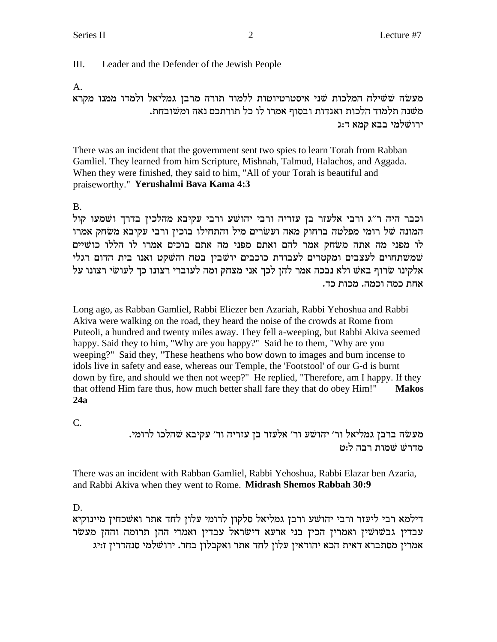III. Leader and the Defender of the Jewish People

## A.

מעשה ששילח המלכות שני איסטרטיוטות ללמוד תורה מרבן גמליאל ולמדו ממנו מקרא . משנה תלמוד הלכות ואגדות ובסוף אמרו לו כל תורתכם נאה ומשובחת ירושלמי בבא קמא ד:ג

There was an incident that the government sent two spies to learn Torah from Rabban Gamliel. They learned from him Scripture, Mishnah, Talmud, Halachos, and Aggada. When they were finished, they said to him, "All of your Torah is beautiful and praiseworthy." **Yerushalmi Bava Kama 4:3**

## B.

lecבר היה ר״ג ורבי אלעזר בן עזריה ורבי יהושע ורבי עקיבא מהלכין בדרך ושמעו קול המונה של רומי מפלטה ברחוק מאה ועשרים מיל והתחילו בוכין ורבי עקיבא משחק אמרו לו מפני מה אתה משחק אמר להם ואתם מפני מה אתם בוכים אמרו לו הללו כושיים יווים לעצבים ומקטרים לעבודת כוכבים יושבין בטח והשקט ואנו בית הדום רגלי mi אלקינו שרוף באש ולא נבכה אמר להן לכך אני מצחק ומה לעוברי רצונו כך לעושי רצונו על אחת כמה וכמה. מכות כד.

Long ago, as Rabban Gamliel, Rabbi Eliezer ben Azariah, Rabbi Yehoshua and Rabbi Akiva were walking on the road, they heard the noise of the crowds at Rome from Puteoli, a hundred and twenty miles away. They fell a-weeping, but Rabbi Akiva seemed happy. Said they to him, "Why are you happy?" Said he to them, "Why are you weeping?" Said they, "These heathens who bow down to images and burn incense to idols live in safety and ease, whereas our Temple, the 'Footstool' of our G-d is burnt down by fire, and should we then not weep?" He replied, "Therefore, am I happy. If they that offend Him fare thus, how much better shall fare they that do obey Him!" **Makos 24a**

C.

. מעשה ברבן גמליאל ור׳ יהושע ור׳ אלעזר בן עזריה ור׳ עקיבא שהלכו לרומי מדרשׁ שמות רבה לוט

There was an incident with Rabban Gamliel, Rabbi Yehoshua, Rabbi Elazar ben Azaria, and Rabbi Akiva when they went to Rome. **Midrash Shemos Rabbah 30:9**

## D.

דילמא רבי ליעזר ורבי יהושע ורבן גמליאל סלקון לרומי עלון לחד אתר ואשכחין מיינוקיא עבדין גבשושין ואמרין הכין בני ארעא דישראל עבדין ואמרי ההן תרומה וההן מעשר .<br>אמרין מסתברא דאית הכא יהודאין עלון לחד אתר ואקבלון בחד. ירושלמי סנהדרין ז:יג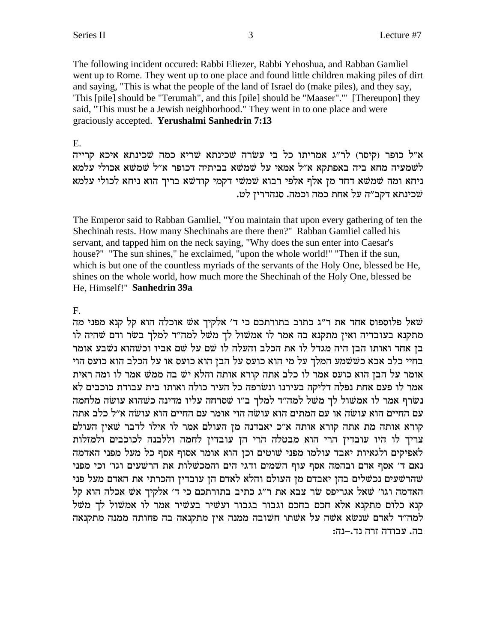The following incident occured: Rabbi Eliezer, Rabbi Yehoshua, and Rabban Gamliel went up to Rome. They went up to one place and found little children making piles of dirt and saying, "This is what the people of the land of Israel do (make piles), and they say, 'This [pile] should be "Terumah", and this [pile] should be "Maaser".'" [Thereupon] they said, "This must be a Jewish neighborhood." They went in to one place and were graciously accepted. **Yerushalmi Sanhedrin 7:13**

#### E.

א״ל כופר (קיסר) לר״ג אמריתו כל בי עשׂרה שכינתא שריא כמה שכינתא איכא קרייה לשמעיה מחא ביה באפתקא א"ל אמאי על שמשא בביתיה דכופר א"ל שמשא אכולי עלמא ניחא ומה שמשא דחד מן אלף אלפי רבוא שמשי דקמי קודשא בריך הוא ניחא לכולי עלמא .שכינתא דקב״ה על אחת כמה וכמה. סנהדרין לט

The Emperor said to Rabban Gamliel, "You maintain that upon every gathering of ten the Shechinah rests. How many Shechinahs are there then?" Rabban Gamliel called his servant, and tapped him on the neck saying, "Why does the sun enter into Caesar's house?" "The sun shines," he exclaimed, "upon the whole world!" "Then if the sun, which is but one of the countless myriads of the servants of the Holy One, blessed be He, shines on the whole world, how much more the Shechinah of the Holy One, blessed be He, Himself!" **Sanhedrin 39a**

### F.

שאל פלוספוס אחד את ר"ג כתוב בתורתכם כי ד' אלקיך אש אוכלה הוא קל קנא מפני מה מתקנא בעובדיה ואין מתקנא בה אמר לו אמשול לך משל למה"ד למלך בשר ודם שהיה לו בן אחד ואותו הבן היה מגדל לו את הכלב והעלה לו שם על שם אביו וכשהוא נשבע אומר בחיי כלב אבא כששמע המלך על מי הוא כועס על הבן הוא כועס או על הכלב הוא כועס הוי צומר על הבן הוא כועס אמר לו כלב אתה קורא אותה והלא יש בה ממש אמר לו ומה ראית אמר לו פעם אחת נפלה דליקה בעירנו ונשׂרפה כל העיר כולה ואותו בית עבודת כוכבים לא נשרף אמר לו אמשול לך משל למה"ד למלך ב"ו שסרחה עליו מדינה כשהוא עושה מלחמה עם החיים הוא עושה או עם המתים הוא עושה הוי אומר עם החיים הוא עושה א״ל כלב אתה הורא אותה מת אתה קורא אותה א"כ יאבדנה מן העולם אמר לו אילו לדבר שאין העולם צריך לו היו עובדין הרי הוא מבטלה הרי הן עובדין לחמה וללבנה לכוכבים ולמזלות לאפיקים ולגאיות יאבד עולמו מפני שוטים וכן הוא אומר אסוף אסף כל מעל מפני האדמה נאם ד' אסף אדם ובהמה אסף עוף השמים ודגי הים והמכשלות את הרשעים וגו' וכי מפני ישהרשעים נכשלים בהן יאבדם מן העולם והלא לאדם הן עובדין והכרתי את האדם מעל פני האדמה וגו' שאל אגריפס שר צבא את ר"ג כתיב בתורתכם כי ד' אלקיך אש אכלה הוא קל קנא כלום מתקנא אלא חכם בחכם וגבור בגבור ועשיר בעשיר אמר לו אמשול לך משל למה"ד לאדם שנשא אשה על אשתו חשובה ממנה אין מתקנאה בה פחותה ממנה מתקנאה בה. עבודה זרה נד.–נה: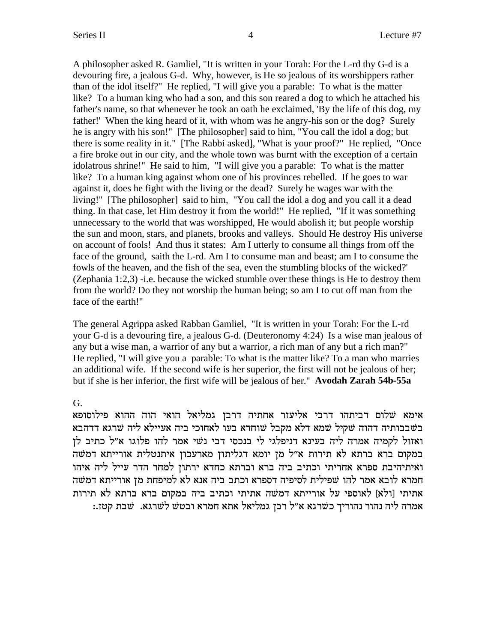A philosopher asked R. Gamliel, "It is written in your Torah: For the L-rd thy G-d is a devouring fire, a jealous G-d. Why, however, is He so jealous of its worshippers rather than of the idol itself?" He replied, "I will give you a parable: To what is the matter like? To a human king who had a son, and this son reared a dog to which he attached his father's name, so that whenever he took an oath he exclaimed, 'By the life of this dog, my father!' When the king heard of it, with whom was he angry-his son or the dog? Surely he is angry with his son!" [The philosopher] said to him, "You call the idol a dog; but there is some reality in it." [The Rabbi asked], "What is your proof?" He replied, "Once a fire broke out in our city, and the whole town was burnt with the exception of a certain idolatrous shrine!" He said to him, "I will give you a parable: To what is the matter like? To a human king against whom one of his provinces rebelled. If he goes to war against it, does he fight with the living or the dead? Surely he wages war with the living!" [The philosopher] said to him, "You call the idol a dog and you call it a dead thing. In that case, let Him destroy it from the world!" He replied, "If it was something unnecessary to the world that was worshipped, He would abolish it; but people worship the sun and moon, stars, and planets, brooks and valleys. Should He destroy His universe on account of fools! And thus it states: Am I utterly to consume all things from off the face of the ground, saith the L-rd. Am I to consume man and beast; am I to consume the fowls of the heaven, and the fish of the sea, even the stumbling blocks of the wicked?' (Zephania 1:2,3) -i.e. because the wicked stumble over these things is He to destroy them from the world? Do they not worship the human being; so am I to cut off man from the face of the earth!"

The general Agrippa asked Rabban Gamliel, "It is written in your Torah: For the L-rd your G-d is a devouring fire, a jealous G-d. (Deuteronomy 4:24) Is a wise man jealous of any but a wise man, a warrior of any but a warrior, a rich man of any but a rich man?" He replied, "I will give you a parable: To what is the matter like? To a man who marries an additional wife. If the second wife is her superior, the first will not be jealous of her; but if she is her inferior, the first wife will be jealous of her." **Avodah Zarah 54b-55a**

G.

אימא שלום דביתהו דרבי אליעזר אחתיה דרבן גמליאל הואי הוה ההוא פילוסופא בשבבותיה דהוה שקיל שמא דלא מקבל שוחדא בעו לאחוכי ביה אעיילא ליה שרגא דדהבא ואזול לקמיה אמרה ליה בעינא דניפלגי לי בנכסי דבי נשי אמר להו פלוגו א״ל כתיב לן .<br>במקום ברא ברתא לא תירות א"ל מן יומא דגליתון מארעכון איתנטלית אורייתא דמשה ואיתיהיבת ספרא אחריתי וכתיב ביה ברא וברתא כחדא ירתון למחר הדר עייל ליה איהו חמרא לובא אמר להו שפילית לסיפיה דספרא וכתב ביה אנא לא למיפחת מן אורייתא דמשה אתיתי [ולא] לאוספי על אורייתא דמשה אתיתי וכתיב ביה במקום ברא ברתא לא תירות :אמרה ליה נהור נהוריך כשרגא א״ל רבז גמליאל אתא חמרא ובטש לשרגא. שבת קטז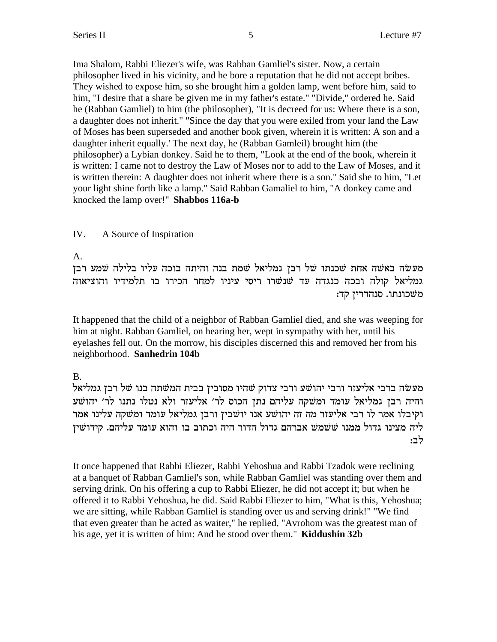Ima Shalom, Rabbi Eliezer's wife, was Rabban Gamliel's sister. Now, a certain philosopher lived in his vicinity, and he bore a reputation that he did not accept bribes. They wished to expose him, so she brought him a golden lamp, went before him, said to him, "I desire that a share be given me in my father's estate." "Divide," ordered he. Said he (Rabban Gamliel) to him (the philosopher), "It is decreed for us: Where there is a son, a daughter does not inherit." "Since the day that you were exiled from your land the Law of Moses has been superseded and another book given, wherein it is written: A son and a daughter inherit equally.' The next day, he (Rabban Gamleil) brought him (the philosopher) a Lybian donkey. Said he to them, "Look at the end of the book, wherein it is written: I came not to destroy the Law of Moses nor to add to the Law of Moses, and it is written therein: A daughter does not inherit where there is a son." Said she to him, "Let your light shine forth like a lamp." Said Rabban Gamaliel to him, "A donkey came and knocked the lamp over!" **Shabbos 116a-b**

## IV. A Source of Inspiration

A.

מעשה באשה אחת שכנתו של רבן גמליאל שמת בנה והיתה בוכה עליו בלילה שמע רבן גמליאל קולה ובכה כנגדה עד שנשרו ריסי עיניו למחר הכירו בו תלמידיו והוציאוה :משכונתו. סנהדרין קד

It happened that the child of a neighbor of Rabban Gamliel died, and she was weeping for him at night. Rabban Gamliel, on hearing her, wept in sympathy with her, until his eyelashes fell out. On the morrow, his disciples discerned this and removed her from his neighborhood. **Sanhedrin 104b**

B.

מעשה ברבי אליעזר ורבי יהושע ורבי צדוק שהיו מסובין בבית המשתה בנו של רבן גמליאל והיה רבן גמליאל עומד ומשקה עליהם נתן הכוס לר׳ אליעזר ולא נטלו נתנו לר׳ יהושע וקיבלו אמר לו רבי אליעזר מה זה יהושע אנו יושבין ורבן גמליאל עומד ומשקה עלינו אמר ליה מצינו גדול ממנו ששמש אברהם גדול הדור היה וכתוב בו והוא עומד עליהם. קידושין :לב

It once happened that Rabbi Eliezer, Rabbi Yehoshua and Rabbi Tzadok were reclining at a banquet of Rabban Gamliel's son, while Rabban Gamliel was standing over them and serving drink. On his offering a cup to Rabbi Eliezer, he did not accept it; but when he offered it to Rabbi Yehoshua, he did. Said Rabbi Eliezer to him, "What is this, Yehoshua; we are sitting, while Rabban Gamliel is standing over us and serving drink!" "We find that even greater than he acted as waiter," he replied, "Avrohom was the greatest man of his age, yet it is written of him: And he stood over them." **Kiddushin 32b**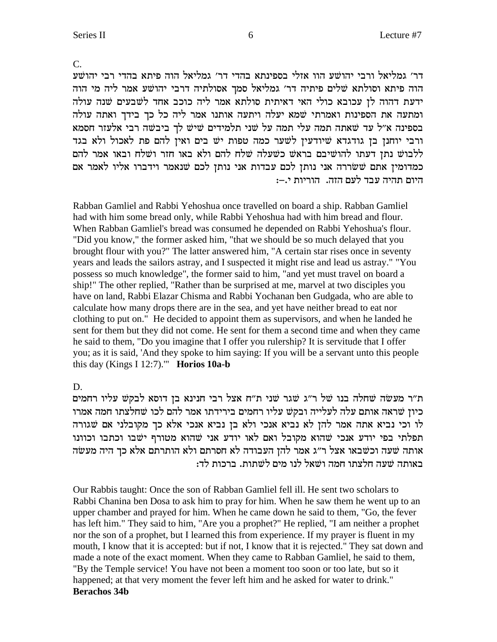$\overline{C}$ .

דר׳ גמליאל ורבי יהושׁע הוו אזלי בספינתא בהדי דר׳ גמליאל הוה פיתא בהדי רבי יהושׁע הוה פיתא וסולתא שלים פיתיה דר׳ גמליאל סמך אסולתיה דרבי יהושע אמר ליה מי הוה ידעת דהוה לן עכובא כולי האי דאיתית סולתא אמר ליה כוכב אחד לשבעים שנה עולה ומתעה את הספינות ואמרתי שמא יעלה ויתעה אותנו אמר ליה כל כך בידך ואתה עולה בספינה א״ל עד שאתה תמה עלי תמה על שני תלמידים שיש לך ביבשה רבי אלעזר חסמא ורבי יוחנן בן גודגדא שיודעין לשער כמה טפות יש בים ואין להם פת לאכול ולא בגד ללבוש נתן דעתו להושיבם בראש כשעלה שלח להם ולא באו חזר ושלח ובאו אמר להם כמדומין אתם ששררה אני נותן לכם עבדות אני נותן לכם שנאמר וידברו אליו לאמר אם היום תהיה עבד לעם הזה.. הוריות י.–:

Rabban Gamliel and Rabbi Yehoshua once travelled on board a ship. Rabban Gamliel had with him some bread only, while Rabbi Yehoshua had with him bread and flour. When Rabban Gamliel's bread was consumed he depended on Rabbi Yehoshua's flour. "Did you know," the former asked him, "that we should be so much delayed that you brought flour with you?" The latter answered him, "A certain star rises once in seventy years and leads the sailors astray, and I suspected it might rise and lead us astray." "You possess so much knowledge", the former said to him, "and yet must travel on board a ship!" The other replied, "Rather than be surprised at me, marvel at two disciples you have on land, Rabbi Elazar Chisma and Rabbi Yochanan ben Gudgada, who are able to calculate how many drops there are in the sea, and yet have neither bread to eat nor clothing to put on." He decided to appoint them as supervisors, and when he landed he sent for them but they did not come. He sent for them a second time and when they came he said to them, "Do you imagine that I offer you rulership? It is servitude that I offer you; as it is said, 'And they spoke to him saying: If you will be a servant unto this people this day (Kings I 12:7)." Horios  $10a-b$ 

D.

ת"ר מעשה שחלה בנו של ר"ג שגר שני ת"ח אצל רבי חנינא בן דוסא לבקש עליו רחמים כיון שראה אותם עלה לעלייה ובקש עליו רחמים בירידתו אמר להם לכו שחלצתו חמה אמרו לו וכי נביא אתה אמר להן לא נביא אנכי ולא בן נביא אנכי אלא כך מקובלני אם שגורה תפלתי בפי יודע אנכי שהוא מקובל ואם לאו יודע אני שהוא מטורף ישבו וכתבו וכוונו אותה שעה וכשבאו אצל ר״ג אמר להן העבודה לא חסרתם ולא הותרתם אלא כך היה מעשה באותה שעה חלצתו חמה ושאל לנו מים לשתות. ברכות לד:

Our Rabbis taught: Once the son of Rabban Gamliel fell ill. He sent two scholars to Rabbi Chanina ben Dosa to ask him to pray for him. When he saw them he went up to an upper chamber and prayed for him. When he came down he said to them, "Go, the fever has left him." They said to him, "Are you a prophet?" He replied, "I am neither a prophet nor the son of a prophet, but I learned this from experience. If my prayer is fluent in my mouth, I know that it is accepted: but if not, I know that it is rejected." They sat down and made a note of the exact moment. When they came to Rabban Gamliel, he said to them, "By the Temple service! You have not been a moment too soon or too late, but so it happened; at that very moment the fever left him and he asked for water to drink." **Berachos 34b**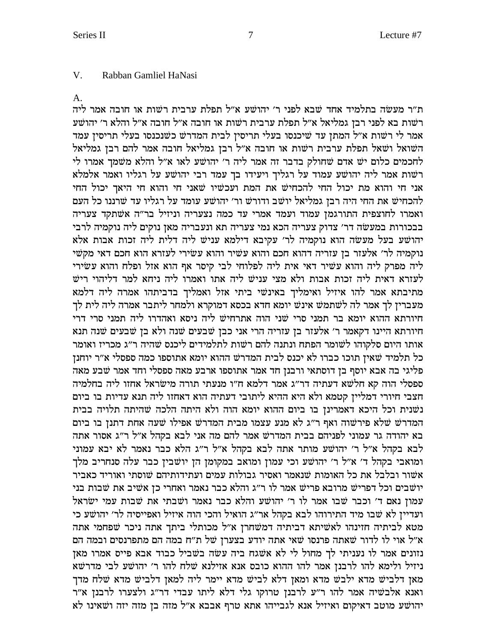#### $V_{\perp}$ Rabban Gamliel HaNasi

 $A<sub>1</sub>$ 

ת"ר מעשה בתלמיד אחד שבא לפני ר' יהושע א"ל תפלת ערבית רשות או חובה אמר ליה רשות בא לפני רבן גמליאל א״ל תפלת ערבית רשות או חובה א״ל חובה א״ל והלא ר׳ יהושע אמר לי רשות א״ל המתן עד שיכנסו בעלי תריסין לבית המדרש כשנכנסו בעלי תריסין עמד השואל ושאל תפלת ערבית רשות או חובה א"ל רבן גמליאל חובה אמר להם רבן גמליאל לחכמים כלום יש אדם שחולק בדבר זה אמר ליה ר׳ יהושע לאו א״ל והלא משמד אמרו לי רשות אמר ליה יהושע עמוד על רגליך ויעידו בך עמד רבי יהושע על רגליו ואמר אלמלא אני חי והוא מת יכול החי להכחיש את המת ועכשיו שאני חי והוא חי היאך יכול החי להכחיש את החי היה רבן גמליאל יושב ודורש ור׳ יהושע עומד על רגליו עד שרננו כל העם ואמרו לחוצפית התורגמן עמוד ועמד אמרי עד כמה נצעריה וניזיל בר"ה אשתקד צעריה בבכורות במעשה דר׳ צדוק צעריה הכא נמי צעריה תא ונעבריה מאן נוקים ליה נוקמיה לרבי יהושע בעל מעשה הוא נוקמיה לר׳ עקיבא דילמא עניש ליה דלית ליה זכות אבות אלא נוקמיה לר׳ אלעזר בן עזריה דהוא חכם והוא עשיר והוא עשירי לעזרא הוא חכם דאי מקשי ליה מפרק ליה והוא עשיר דאי אית ליה לפלוחי לבי קיסר אף הוא אזל ופלח והוא עשירי לעזרא דאית ליה זכות אבות ולא מצי עניש ליה אתו ואמרו ליה ניחא למר דליהוי ריש מתיבתא אמר להו איזיל ואימליך באינשי ביתי אזל ואמליך בדביתהו אמרה ליה דלמא מעברין לך אמר לה לשתמש אינש יומא חדא בכסא דמוקרא ולמחר ליתבר אמרה ליה לית לך חיורתא ההוא יומא בר תמני סרי שני הוה אתרחיש ליה ניסא ואהדרו ליה תמני סרי דרי חיורתא היינו דקאמר ר׳ אלעזר בן עזריה הרי אני כבן שבעים שנה ולא בן שבעים שנה תנא אותו היום סלקוהו לשומר הפתח ונתנה להם רשות לתלמידים ליכנס שהיה ר״ג מכריז ואומר כל תלמיד שאין תוכו כברו לא יכנס לבית המדרש ההוא יומא אתוספו כמה ספסלי א״ר יוחנן פליגי בה אבא יוסף בן דוסתאי ורבנן חד אמר אתוספו ארבע מאה ספסלי וחד אמר שבע מאה ספסלי הוה קא חלשא דעתיה דר״ג אמר דלמא ח״ו מנעתי תורה מישראל אחזו ליה בחלמיה חצבי חיורי דמליין קטמא ולא היא ההיא ליתובי דעתיה הוא דאחזו ליה תנא עדיות בו ביום נשנית וכל היכא דאמרינן בו ביום ההוא יומא הוה ולא היתה הלכה שהיתה תלויה בבית המדרש שלא פירשוה ואף ר"ג לא מנע עצמו מבית המדרש אפילו שעה אחת דתנן בו ביום בא יהודה גר עמוני לפניהם בבית המדרש אמר להם מה אני לבא בקהל א״ל ר״ג אסור אתה לבא בקהל א״ל ר׳ יהושע מותר אתה לבא בקהל א״ל ר״ג הלא כבר נאמר לא יבא עמוני ומואבי בקהל ד' א"ל ר' יהושע וכי עמון ומואב במקומן הן יושבין כבר עלה סנחריב מלך אשור ובלבל את כל האומות שנאמר ואסיר גבולות עמים ועתידותיהם שוסתי ואוריד כאביר יושבים וכל דפריש מרובא פריש אמר לו ר״ג והלא כבר נאמר ואחרי כן אשיב את שבות בני עמון נאם ד' וכבר שבו אמר לו ר' יהושע והלא כבר נאמר ושבתי את שבות עמי ישראל ועדיין לא שבו מיד התירוהו לבא בקהל אר״ג הואיל והכי הוה איזיל ואפייסיה לר׳ יהושע כי מטא לביתיה חזינהו לאשיתא דביתיה דמשחרן א"ל מכותלי ביתך אתה ניכר שפחמי אתה א״ל אוי לו לדור שאתה פרנסו שאי אתה יודע בצערן של ת״ח במה הם מתפרנסים ובמה הם נזונים אמר לו נעניתי לך מחול לי לא אשגח ביה עשה בשביל כבוד אבא פייס אמרו מאז ניזיל ולימא להו לרבנן אמר להו ההוא כובס אנא אזילנא שלח להו ר׳ יהושע לבי מדרשא מאן דלביש מדא ילבש מדא ומאן דלא לביש מדא יימר ליה למאן דלביש מדא שלח מדך ואנא אלבשיה אמר להו ר"ע לרבנן טרוקו גלי דלא ליתו עבדי דר"ג ולצערו לרבנן א"ר יהושע מוטב דאיקום ואיזיל אנא לגבייהו אתא טרף אבבא א"ל מזה בן מזה יזה ושאינו לא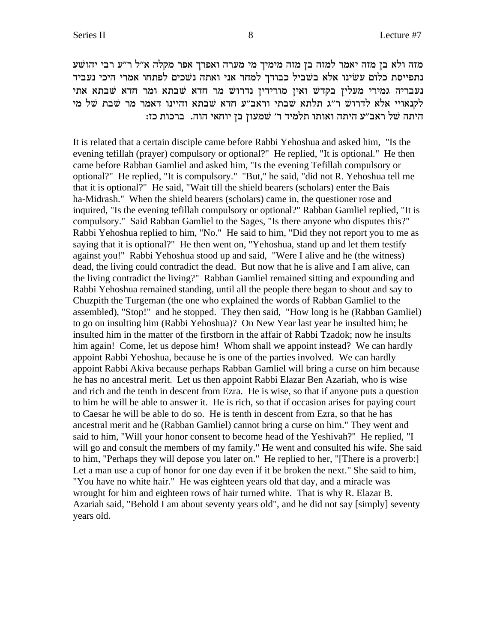מזה ולא בן מזה יאמר למזה בן מזה מימיך מי מערה ואפרך אפר מקלה א״ל ר״ע רבי יהושׁע נתפייסת כלום עשינו אלא בשביל כבודך למחר אני ואתה נשכים לפתחו אמרי היכי נעביד נעבריה גמירי מעלין בקדש ואין מורידין נדרוש מר חדא שבתא מתי אתי לקנאויי אלא לדרוש ר"ג תלתא שבתי וראב"ע חדא שבתא והיינו דאמר מר שבת של מי היתה של ראב"ע היתה ואותו תלמיד ר' שמעון בן יוחאי הוה. ברכות כז:

It is related that a certain disciple came before Rabbi Yehoshua and asked him, "Is the evening tefillah (prayer) compulsory or optional?" He replied, "It is optional." He then came before Rabban Gamliel and asked him, "Is the evening Tefillah compulsory or optional?" He replied, "It is compulsory." "But," he said, "did not R. Yehoshua tell me that it is optional?" He said, "Wait till the shield bearers (scholars) enter the Bais ha-Midrash." When the shield bearers (scholars) came in, the questioner rose and inquired, "Is the evening tefillah compulsory or optional?" Rabban Gamliel replied, "It is compulsory." Said Rabban Gamliel to the Sages, "Is there anyone who disputes this?" Rabbi Yehoshua replied to him, "No." He said to him, "Did they not report you to me as saying that it is optional?" He then went on, "Yehoshua, stand up and let them testify against you!" Rabbi Yehoshua stood up and said, "Were I alive and he (the witness) dead, the living could contradict the dead. But now that he is alive and I am alive, can the living contradict the living?" Rabban Gamliel remained sitting and expounding and Rabbi Yehoshua remained standing, until all the people there began to shout and say to Chuzpith the Turgeman (the one who explained the words of Rabban Gamliel to the assembled), "Stop!" and he stopped. They then said, "How long is he (Rabban Gamliel) to go on insulting him (Rabbi Yehoshua)? On New Year last year he insulted him; he insulted him in the matter of the firstborn in the affair of Rabbi Tzadok; now he insults him again! Come, let us depose him! Whom shall we appoint instead? We can hardly appoint Rabbi Yehoshua, because he is one of the parties involved. We can hardly appoint Rabbi Akiva because perhaps Rabban Gamliel will bring a curse on him because he has no ancestral merit. Let us then appoint Rabbi Elazar Ben Azariah, who is wise and rich and the tenth in descent from Ezra. He is wise, so that if anyone puts a question to him he will be able to answer it. He is rich, so that if occasion arises for paying court to Caesar he will be able to do so. He is tenth in descent from Ezra, so that he has ancestral merit and he (Rabban Gamliel) cannot bring a curse on him." They went and said to him, "Will your honor consent to become head of the Yeshivah?" He replied, "I will go and consult the members of my family." He went and consulted his wife. She said to him, "Perhaps they will depose you later on." He replied to her, "[There is a proverb:] Let a man use a cup of honor for one day even if it be broken the next." She said to him, "You have no white hair." He was eighteen years old that day, and a miracle was wrought for him and eighteen rows of hair turned white. That is why R. Elazar B. Azariah said, "Behold I am about seventy years old", and he did not say [simply] seventy years old.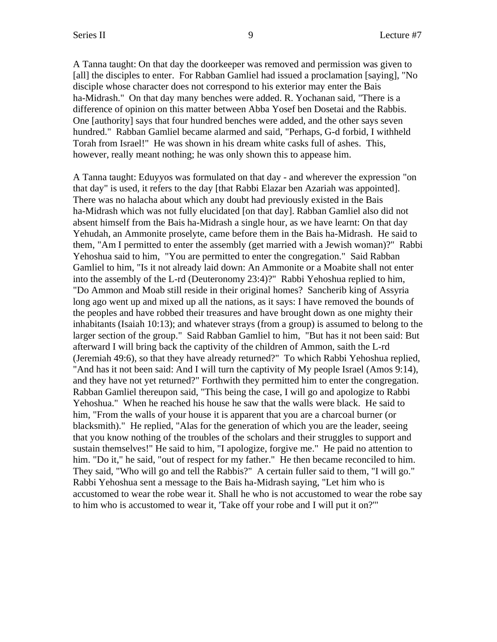A Tanna taught: On that day the doorkeeper was removed and permission was given to [all] the disciples to enter. For Rabban Gamliel had issued a proclamation [saying], "No disciple whose character does not correspond to his exterior may enter the Bais ha-Midrash." On that day many benches were added. R. Yochanan said, "There is a difference of opinion on this matter between Abba Yosef ben Dosetai and the Rabbis. One [authority] says that four hundred benches were added, and the other says seven hundred." Rabban Gamliel became alarmed and said, "Perhaps, G-d forbid, I withheld Torah from Israel!" He was shown in his dream white casks full of ashes. This, however, really meant nothing; he was only shown this to appease him.

A Tanna taught: Eduyyos was formulated on that day - and wherever the expression "on that day" is used, it refers to the day [that Rabbi Elazar ben Azariah was appointed]. There was no halacha about which any doubt had previously existed in the Bais ha-Midrash which was not fully elucidated [on that day]. Rabban Gamliel also did not absent himself from the Bais ha-Midrash a single hour, as we have learnt: On that day Yehudah, an Ammonite proselyte, came before them in the Bais ha-Midrash. He said to them, "Am I permitted to enter the assembly (get married with a Jewish woman)?" Rabbi Yehoshua said to him, "You are permitted to enter the congregation." Said Rabban Gamliel to him, "Is it not already laid down: An Ammonite or a Moabite shall not enter into the assembly of the L-rd (Deuteronomy 23:4)?" Rabbi Yehoshua replied to him, "Do Ammon and Moab still reside in their original homes? Sancherib king of Assyria long ago went up and mixed up all the nations, as it says: I have removed the bounds of the peoples and have robbed their treasures and have brought down as one mighty their inhabitants (Isaiah 10:13); and whatever strays (from a group) is assumed to belong to the larger section of the group." Said Rabban Gamliel to him, "But has it not been said: But afterward I will bring back the captivity of the children of Ammon, saith the L-rd (Jeremiah 49:6), so that they have already returned?" To which Rabbi Yehoshua replied, "And has it not been said: And I will turn the captivity of My people Israel (Amos 9:14), and they have not yet returned?" Forthwith they permitted him to enter the congregation. Rabban Gamliel thereupon said, "This being the case, I will go and apologize to Rabbi Yehoshua." When he reached his house he saw that the walls were black. He said to him, "From the walls of your house it is apparent that you are a charcoal burner (or blacksmith)." He replied, "Alas for the generation of which you are the leader, seeing that you know nothing of the troubles of the scholars and their struggles to support and sustain themselves!" He said to him, "I apologize, forgive me." He paid no attention to him. "Do it," he said, "out of respect for my father." He then became reconciled to him. They said, "Who will go and tell the Rabbis?" A certain fuller said to them, "I will go." Rabbi Yehoshua sent a message to the Bais ha-Midrash saying, "Let him who is accustomed to wear the robe wear it. Shall he who is not accustomed to wear the robe say to him who is accustomed to wear it, 'Take off your robe and I will put it on?'"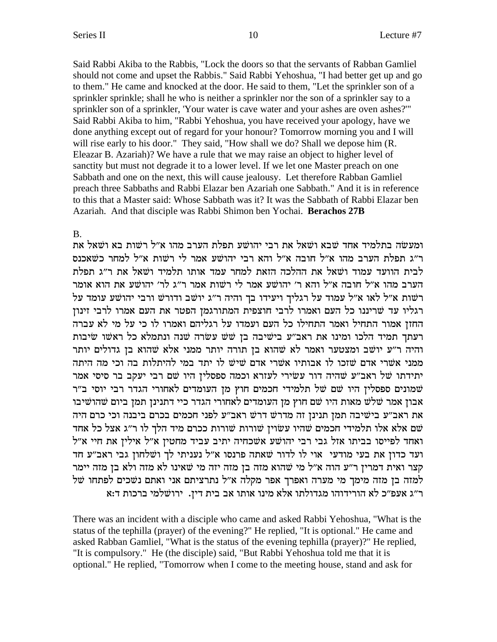Said Rabbi Akiba to the Rabbis, "Lock the doors so that the servants of Rabban Gamliel should not come and upset the Rabbis." Said Rabbi Yehoshua, "I had better get up and go to them." He came and knocked at the door. He said to them, "Let the sprinkler son of a sprinkler sprinkle; shall he who is neither a sprinkler nor the son of a sprinkler say to a sprinkler son of a sprinkler, 'Your water is cave water and your ashes are oven ashes?'" Said Rabbi Akiba to him, "Rabbi Yehoshua, you have received your apology, have we done anything except out of regard for your honour? Tomorrow morning you and I will will rise early to his door." They said, "How shall we do? Shall we depose him  $(R, R)$ . Eleazar B. Azariah)? We have a rule that we may raise an object to higher level of sanctity but must not degrade it to a lower level. If we let one Master preach on one Sabbath and one on the next, this will cause jealousy. Let therefore Rabban Gamliel preach three Sabbaths and Rabbi Elazar ben Azariah one Sabbath." And it is in reference to this that a Master said: Whose Sabbath was it? It was the Sabbath of Rabbi Elazar ben Azariah. And that disciple was Rabbi Shimon ben Yochai. **Berachos 27B**

## B.

ומעשה בתלמיד אחד שבא ושאל את רבי יהושע תפלת הערב מהו א״ל רשות בא ושאל את ר״ג תפלת הערב מהו א״ל חובה א״ל והא רבי יהושע אמר לי רשות א״ל למחר כשאכנס לבית הוועד עמוד ושאל את ההלכה הזאת למחר עמד אותו תלמיד ושאל את ר״ג תפלת הערב מהו א״ל חובה א״ל והא ר׳ יהושע אמר לי רשות אמר ר״ג לר׳ יהושע את הוא אומר וד היה יהושע הא היל לאו השל על העלי העיל העידו המה היה הודי המי הוא היהו הו הו בל המה היה המיל וה ו בל ו בל ו" רגליו עד שריננו כל העם ואמרו לרבי חוצפית המתורגמן הפטר את העם אמרו לרבי זינון החזן אמור התחיל ואמר התחילו כל העם ועמדו על רגליהם ואמרו לו כי על מי לא עברה רעתך תמיד הלכו ומינו את ראב"ע בישיבה בן שש עשרה שנה ונתמלא כל ראשו שיבות והיה ר״ע יושב ומצטער ואמר לא שהוא בן תורה יותר ממני אלא שהוא בן גדולים יותר ממני אשרי אדם שזכו לו אבותיו אשרי אדם שיש לו יתד במי להיתלות בה וכי מה היתה יתידתו של ראב"ע שהיה דור עשירי לעזרא וכמה ספסלין היו שם רבי יעקב בר סיסי אמר שמונים ספסלין היו שם של תלמידי חכמים חוץ מן העומדים לאחורי הגדר רבי יוסי ב״ר אבון אמר שלש מאות היו שם חוץ מן העומדים לאחורי הגדר כיי דתנינן תמן ביום שהושיבו את ראב״ע בישיבה תמן תנינן זה מדרש דרש ראב״ע לפני חכמים בכרם ביבנה וכי כרם היה שם אלא אלו תלמידי חכמים שהיו עשוין שורות שורות ככרם מיד הלך לו ר״ג אצל כל אחד ואחד לפייסו בביתו אזל גבי רבי יהושע אשכחיה יתיב עביד מחטין א״ל אילין את חיי א״ל ועד כדון את בעי מודעי אוי לו לדור שאתה פרנסו א"ל נעניתי לך ושלחון גבי ראב"ע חד קצר ואית דמרין ר"ע הוה א"ל מי שהוא מזה בן מזה יזה מי שאינו לא מזה ולא בן מזה יימר למזה בן מזה מימך מי מערה ואפרך אפר מקלה א"ל נתרציתם אני ואתם נשכים לפתחו של ר"ג אעפ"כ לא הורידוהו מגדולתו אלא מינו אותו אב בית דין. ירושלמי ברכות ד:א

There was an incident with a disciple who came and asked Rabbi Yehoshua, "What is the status of the tephilla (prayer) of the evening?" He replied, "It is optional." He came and asked Rabban Gamliel, "What is the status of the evening tephilla (prayer)?" He replied, "It is compulsory." He (the disciple) said, "But Rabbi Yehoshua told me that it is optional." He replied, "Tomorrow when I come to the meeting house, stand and ask for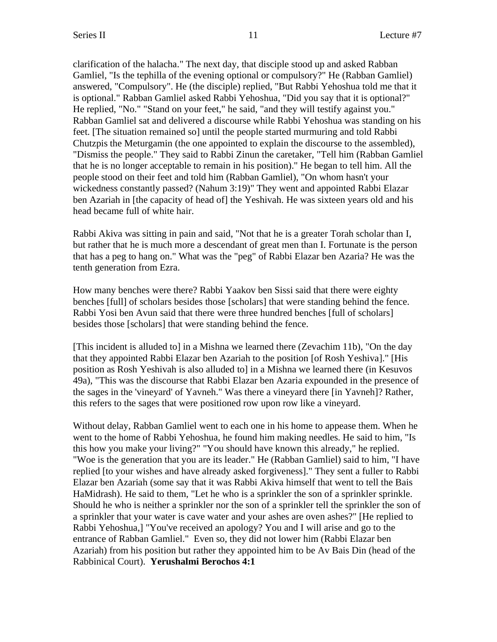clarification of the halacha." The next day, that disciple stood up and asked Rabban Gamliel, "Is the tephilla of the evening optional or compulsory?" He (Rabban Gamliel) answered, "Compulsory". He (the disciple) replied, "But Rabbi Yehoshua told me that it is optional." Rabban Gamliel asked Rabbi Yehoshua, "Did you say that it is optional?" He replied, "No." "Stand on your feet," he said, "and they will testify against you." Rabban Gamliel sat and delivered a discourse while Rabbi Yehoshua was standing on his feet. [The situation remained so] until the people started murmuring and told Rabbi Chutzpis the Meturgamin (the one appointed to explain the discourse to the assembled), "Dismiss the people." They said to Rabbi Zinun the caretaker, "Tell him (Rabban Gamliel that he is no longer acceptable to remain in his position)." He began to tell him. All the people stood on their feet and told him (Rabban Gamliel), "On whom hasn't your wickedness constantly passed? (Nahum 3:19)" They went and appointed Rabbi Elazar ben Azariah in [the capacity of head of] the Yeshivah. He was sixteen years old and his head became full of white hair.

Rabbi Akiva was sitting in pain and said, "Not that he is a greater Torah scholar than I, but rather that he is much more a descendant of great men than I. Fortunate is the person that has a peg to hang on." What was the "peg" of Rabbi Elazar ben Azaria? He was the tenth generation from Ezra.

How many benches were there? Rabbi Yaakov ben Sissi said that there were eighty benches [full] of scholars besides those [scholars] that were standing behind the fence. Rabbi Yosi ben Avun said that there were three hundred benches [full of scholars] besides those [scholars] that were standing behind the fence.

[This incident is alluded to] in a Mishna we learned there (Zevachim 11b), "On the day that they appointed Rabbi Elazar ben Azariah to the position [of Rosh Yeshiva]." [His position as Rosh Yeshivah is also alluded to] in a Mishna we learned there (in Kesuvos 49a), "This was the discourse that Rabbi Elazar ben Azaria expounded in the presence of the sages in the 'vineyard' of Yavneh." Was there a vineyard there [in Yavneh]? Rather, this refers to the sages that were positioned row upon row like a vineyard.

Without delay, Rabban Gamliel went to each one in his home to appease them. When he went to the home of Rabbi Yehoshua, he found him making needles. He said to him, "Is this how you make your living?" "You should have known this already," he replied. "Woe is the generation that you are its leader." He (Rabban Gamliel) said to him, "I have replied [to your wishes and have already asked forgiveness]." They sent a fuller to Rabbi Elazar ben Azariah (some say that it was Rabbi Akiva himself that went to tell the Bais HaMidrash). He said to them, "Let he who is a sprinkler the son of a sprinkler sprinkle. Should he who is neither a sprinkler nor the son of a sprinkler tell the sprinkler the son of a sprinkler that your water is cave water and your ashes are oven ashes?" [He replied to Rabbi Yehoshua,] "You've received an apology? You and I will arise and go to the entrance of Rabban Gamliel." Even so, they did not lower him (Rabbi Elazar ben Azariah) from his position but rather they appointed him to be Av Bais Din (head of the Rabbinical Court). **Yerushalmi Berochos 4:1**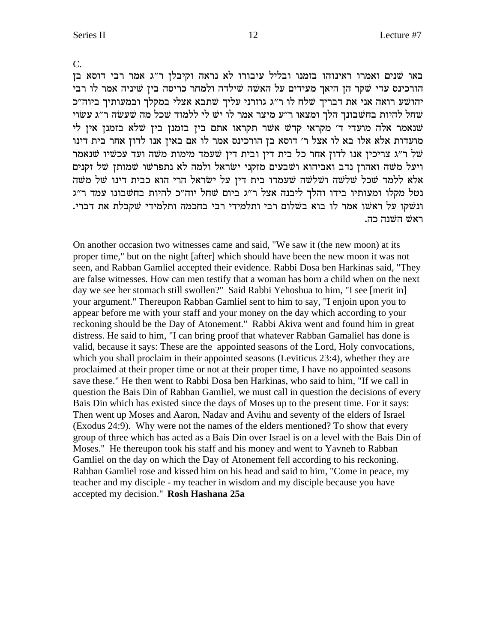$\overline{C}$ .

באו שנים ואמרו ראינוהו בזמנו ובליל עיבורו לא נראה וקיבלן ר"ג אמר רבי דוסא בן הורכינס עדי שקר הן היאך מעידים על האשה שילדה ולמחר כריסה בין שיניה אמר לו רבי יהושע רואה אני את דבריך שלח לו ר"ג גוזרני עליך שתבא אצלי במקלך ובמעותיך ביוה"כ שחל להיות בחשבונך הלך ומצאו ר"ע מיצר אמר לו יש לי ללמוד שכל מה שעשה ר"ג עשוי שנאמר אלה מועדי ד' מקראי קדש אשר תקראו אתם בין בזמנן בין שלא בזמנן אין לי מועדות אלא אלו בא לו אצל ר׳ דוסא בן הורכינס אמר לו אם באין אנו לדון אחר בית דינו של ר״ג צריכין אנו לדון אחר כל בית דין ובית דין שעמד מימות משה ועד עכשיו שנאמר ויעל משה ואהרן נדב ואביהוא ושבעים מזקני ישראל ולמה לא נתפרשו שמותן של זקנים אלא ללמד שכל שלשה ושלשה שעמדו בית דין על ישראל הרי הוא כבית דינו של משה נטל מקלו ומעותיו בידו והלך ליבנה אצל ר"ג ביום שחל יוה"כ להיות בחשבונו עמד ר"ג ונשקו על ראשו אמר לו בוא בשלום רבי ותלמידי רבי בחכמה ותלמידי שקבלת את דברי. ראשׁ השנה כה.

On another occasion two witnesses came and said, "We saw it (the new moon) at its proper time," but on the night [after] which should have been the new moon it was not seen, and Rabban Gamliel accepted their evidence. Rabbi Dosa ben Harkinas said, "They are false witnesses. How can men testify that a woman has born a child when on the next day we see her stomach still swollen?" Said Rabbi Yehoshua to him, "I see [merit in] your argument." Thereupon Rabban Gamliel sent to him to say, "I enjoin upon you to appear before me with your staff and your money on the day which according to your reckoning should be the Day of Atonement." Rabbi Akiva went and found him in great distress. He said to him, "I can bring proof that whatever Rabban Gamaliel has done is valid, because it says: These are the appointed seasons of the Lord, Holy convocations, which you shall proclaim in their appointed seasons (Leviticus 23:4), whether they are proclaimed at their proper time or not at their proper time, I have no appointed seasons save these." He then went to Rabbi Dosa ben Harkinas, who said to him, "If we call in question the Bais Din of Rabban Gamliel, we must call in question the decisions of every Bais Din which has existed since the days of Moses up to the present time. For it says: Then went up Moses and Aaron, Nadav and Avihu and seventy of the elders of Israel (Exodus 24:9). Why were not the names of the elders mentioned? To show that every group of three which has acted as a Bais Din over Israel is on a level with the Bais Din of Moses." He thereupon took his staff and his money and went to Yavneh to Rabban Gamliel on the day on which the Day of Atonement fell according to his reckoning. Rabban Gamliel rose and kissed him on his head and said to him, "Come in peace, my teacher and my disciple - my teacher in wisdom and my disciple because you have accepted my decision." Rosh Hashana 25a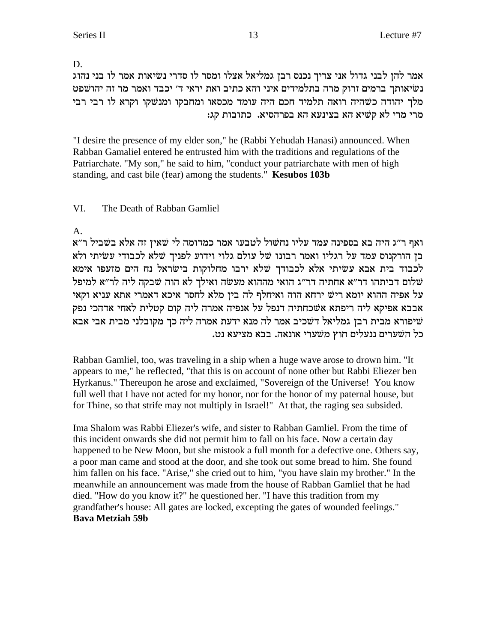D.

אמר להן לבני גדול אני צריך נכנס רבן גמליאל אצלו ומסר לו סדרי נשיאות אמר לו בני נהוג נשיאותך ברמים זרוק מרה בתלמידים איני והא כתיב ואת יראי ד׳ יכבד ואמר מר זה יהושפט מלך יהודה כשהיה רואה תלמיד חכם היה עומד מכסאו ומחבקו ומנשקו וקרא לו רבי רבי מרי מרי לא קשיא הא בצינעא הא בפרהסיא. כתובות קג:

"I desire the presence of my elder son," he (Rabbi Yehudah Hanasi) announced. When Rabban Gamaliel entered he entrusted him with the traditions and regulations of the Patriarchate. "My son," he said to him, "conduct your patriarchate with men of high standing, and cast bile (fear) among the students." Kesubos 103b

#### VI. The Death of Rabban Gamliel

A.

ואף ר״ג היה בא בספינה עמד עליו נחשול לטבעו אמר כמדומה לי שאין זה אלא בשביל ר״א בן הורקנוס עמד על רגליו ואמר רבונו של עולם גלוי וידוע לפניך שלא לכבודי עשיתי ולא לכבוד בית אבא עשיתי אלא לכבודך שלא ירבו מחלוקות בישראל נח הים מזעפו אימא שלום דביתהו דר"א אחתיה דר"ג הואי מההוא מעשה ואילך לא הוה שבקה ליה לר"א למיפל על אפיה ההוא יומא ריש ירחא הוה ואיחלף לה בין מלא לחסר איכא דאמרי אתא עניא וקאי אבבא אפיקא ליה ריפתא אשׁכחתיה דנפל על אנפיה אמרה ליה קום קטלית לאחי אדהכי נפק שיפורא מבית רבן גמליאל דשכיב אמר לה מנא ידעת אמרה ליה כך מקובלני מבית אבי אבא כל השערים ננעלים חוץ משערי אונאה. בבא מציעא נט.

Rabban Gamliel, too, was traveling in a ship when a huge wave arose to drown him. "It appears to me," he reflected, "that this is on account of none other but Rabbi Eliezer ben Hyrkanus." Thereupon he arose and exclaimed, "Sovereign of the Universe! You know full well that I have not acted for my honor, nor for the honor of my paternal house, but for Thine, so that strife may not multiply in Israel!" At that, the raging sea subsided.

Ima Shalom was Rabbi Eliezer's wife, and sister to Rabban Gamliel. From the time of this incident onwards she did not permit him to fall on his face. Now a certain day happened to be New Moon, but she mistook a full month for a defective one. Others say, a poor man came and stood at the door, and she took out some bread to him. She found him fallen on his face. "Arise," she cried out to him, "you have slain my brother." In the meanwhile an announcement was made from the house of Rabban Gamliel that he had died. "How do you know it?" he questioned her. "I have this tradition from my grandfather's house: All gates are locked, excepting the gates of wounded feelings." **Bava Metziah 59b**